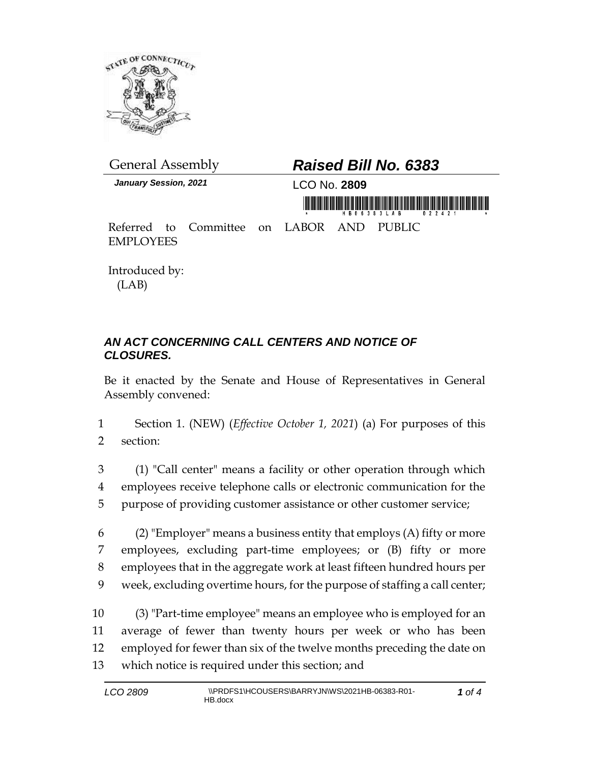

*January Session, 2021* LCO No. **2809**

## General Assembly *Raised Bill No. 6383*

<u>minë këmirësi Grisë mundëris ishte mund i </u>

Referred to Committee on LABOR AND PUBLIC EMPLOYEES

Introduced by: (LAB)

## *AN ACT CONCERNING CALL CENTERS AND NOTICE OF CLOSURES.*

Be it enacted by the Senate and House of Representatives in General Assembly convened:

1 Section 1. (NEW) (*Effective October 1, 2021*) (a) For purposes of this 2 section:

3 (1) "Call center" means a facility or other operation through which 4 employees receive telephone calls or electronic communication for the 5 purpose of providing customer assistance or other customer service;

6 (2) "Employer" means a business entity that employs  $(A)$  fifty or more employees, excluding part-time employees; or (B) fifty or more employees that in the aggregate work at least fifteen hundred hours per week, excluding overtime hours, for the purpose of staffing a call center;

 (3) "Part-time employee" means an employee who is employed for an average of fewer than twenty hours per week or who has been employed for fewer than six of the twelve months preceding the date on which notice is required under this section; and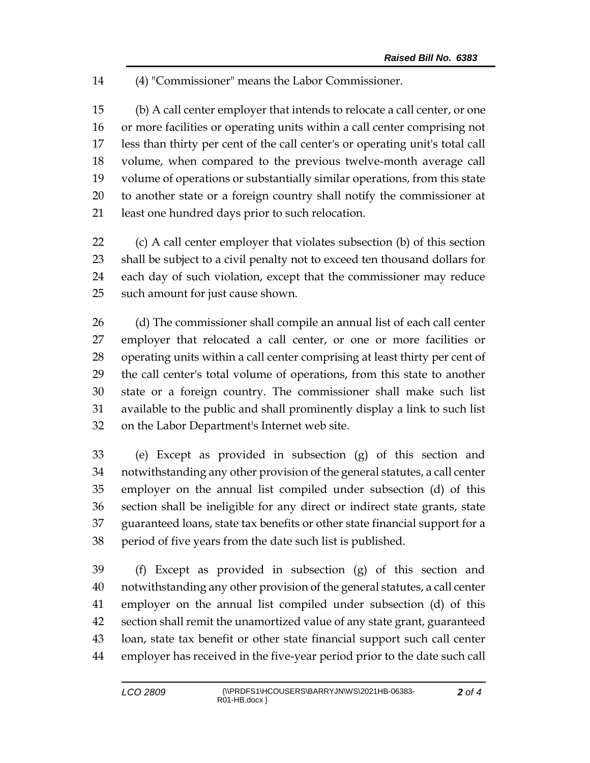(4) "Commissioner" means the Labor Commissioner.

 (b) A call center employer that intends to relocate a call center, or one or more facilities or operating units within a call center comprising not less than thirty per cent of the call center's or operating unit's total call volume, when compared to the previous twelve-month average call volume of operations or substantially similar operations, from this state to another state or a foreign country shall notify the commissioner at least one hundred days prior to such relocation.

 (c) A call center employer that violates subsection (b) of this section shall be subject to a civil penalty not to exceed ten thousand dollars for each day of such violation, except that the commissioner may reduce such amount for just cause shown.

 (d) The commissioner shall compile an annual list of each call center employer that relocated a call center, or one or more facilities or operating units within a call center comprising at least thirty per cent of the call center's total volume of operations, from this state to another state or a foreign country. The commissioner shall make such list available to the public and shall prominently display a link to such list on the Labor Department's Internet web site.

 (e) Except as provided in subsection (g) of this section and notwithstanding any other provision of the general statutes, a call center employer on the annual list compiled under subsection (d) of this section shall be ineligible for any direct or indirect state grants, state guaranteed loans, state tax benefits or other state financial support for a period of five years from the date such list is published.

 (f) Except as provided in subsection (g) of this section and notwithstanding any other provision of the general statutes, a call center employer on the annual list compiled under subsection (d) of this section shall remit the unamortized value of any state grant, guaranteed loan, state tax benefit or other state financial support such call center employer has received in the five-year period prior to the date such call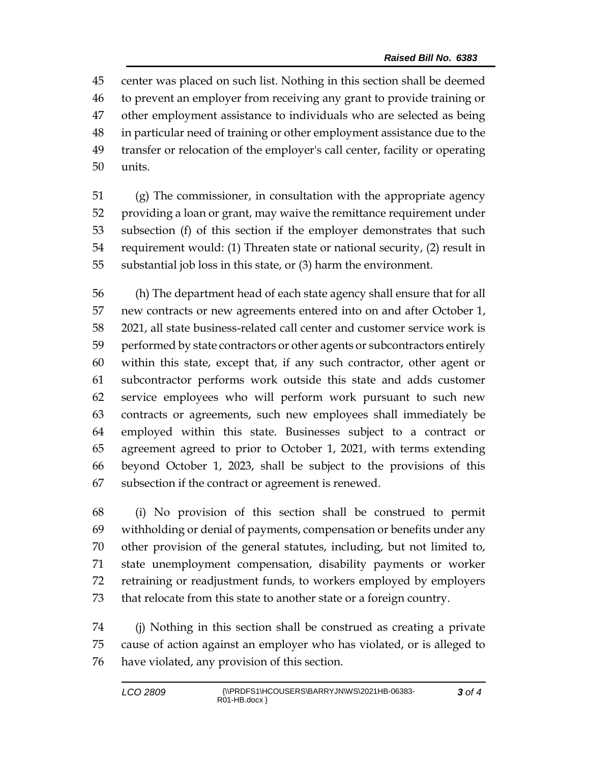center was placed on such list. Nothing in this section shall be deemed to prevent an employer from receiving any grant to provide training or other employment assistance to individuals who are selected as being in particular need of training or other employment assistance due to the transfer or relocation of the employer's call center, facility or operating units.

 (g) The commissioner, in consultation with the appropriate agency providing a loan or grant, may waive the remittance requirement under subsection (f) of this section if the employer demonstrates that such requirement would: (1) Threaten state or national security, (2) result in substantial job loss in this state, or (3) harm the environment.

 (h) The department head of each state agency shall ensure that for all new contracts or new agreements entered into on and after October 1, 2021, all state business-related call center and customer service work is performed by state contractors or other agents or subcontractors entirely within this state, except that, if any such contractor, other agent or subcontractor performs work outside this state and adds customer service employees who will perform work pursuant to such new contracts or agreements, such new employees shall immediately be employed within this state. Businesses subject to a contract or agreement agreed to prior to October 1, 2021, with terms extending beyond October 1, 2023, shall be subject to the provisions of this subsection if the contract or agreement is renewed.

 (i) No provision of this section shall be construed to permit withholding or denial of payments, compensation or benefits under any other provision of the general statutes, including, but not limited to, state unemployment compensation, disability payments or worker retraining or readjustment funds, to workers employed by employers that relocate from this state to another state or a foreign country.

 (j) Nothing in this section shall be construed as creating a private cause of action against an employer who has violated, or is alleged to have violated, any provision of this section.